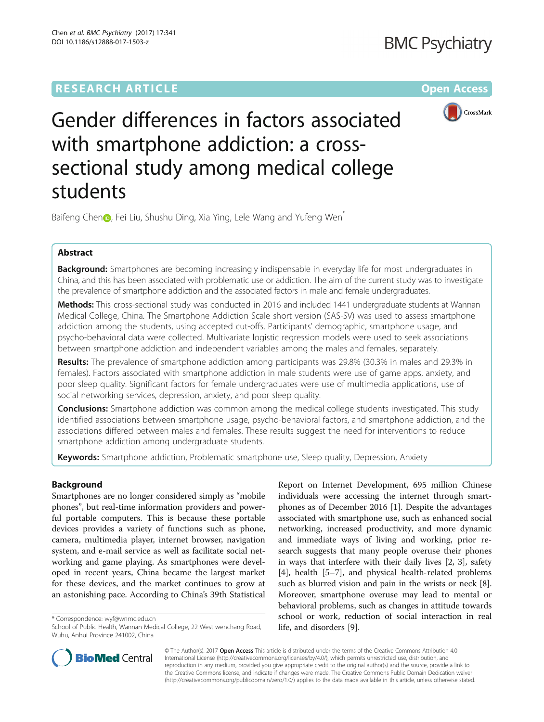# **RESEARCH ARTICLE External Structure Community Community Community Community Community Community Community Community**



Gender differences in factors associated with smartphone addiction: a crosssectional study among medical college students

Baifeng Chen<sub>(D</sub>[,](http://orcid.org/0000-0003-1294-8184) Fei Liu, Shushu Ding, Xia Ying, Lele Wang and Yufeng Wen<sup>\*</sup>

# Abstract

**Background:** Smartphones are becoming increasingly indispensable in everyday life for most undergraduates in China, and this has been associated with problematic use or addiction. The aim of the current study was to investigate the prevalence of smartphone addiction and the associated factors in male and female undergraduates.

Methods: This cross-sectional study was conducted in 2016 and included 1441 undergraduate students at Wannan Medical College, China. The Smartphone Addiction Scale short version (SAS-SV) was used to assess smartphone addiction among the students, using accepted cut-offs. Participants' demographic, smartphone usage, and psycho-behavioral data were collected. Multivariate logistic regression models were used to seek associations between smartphone addiction and independent variables among the males and females, separately.

Results: The prevalence of smartphone addiction among participants was 29.8% (30.3% in males and 29.3% in females). Factors associated with smartphone addiction in male students were use of game apps, anxiety, and poor sleep quality. Significant factors for female undergraduates were use of multimedia applications, use of social networking services, depression, anxiety, and poor sleep quality.

**Conclusions:** Smartphone addiction was common among the medical college students investigated. This study identified associations between smartphone usage, psycho-behavioral factors, and smartphone addiction, and the associations differed between males and females. These results suggest the need for interventions to reduce smartphone addiction among undergraduate students.

Keywords: Smartphone addiction, Problematic smartphone use, Sleep quality, Depression, Anxiety

# Background

Smartphones are no longer considered simply as "mobile phones", but real-time information providers and powerful portable computers. This is because these portable devices provides a variety of functions such as phone, camera, multimedia player, internet browser, navigation system, and e-mail service as well as facilitate social networking and game playing. As smartphones were developed in recent years, China became the largest market for these devices, and the market continues to grow at an astonishing pace. According to China's 39th Statistical

\* Correspondence: [wyf@wnmc.edu.cn](mailto:wyf@wnmc.edu.cn)

Report on Internet Development, 695 million Chinese individuals were accessing the internet through smartphones as of December 2016 [[1\]](#page-7-0). Despite the advantages associated with smartphone use, such as enhanced social networking, increased productivity, and more dynamic and immediate ways of living and working, prior research suggests that many people overuse their phones in ways that interfere with their daily lives [[2](#page-7-0), [3](#page-7-0)], safety [[4\]](#page-7-0), health [\[5](#page-7-0)–[7\]](#page-7-0), and physical health-related problems such as blurred vision and pain in the wrists or neck [\[8](#page-7-0)]. Moreover, smartphone overuse may lead to mental or behavioral problems, such as changes in attitude towards school or work, reduction of social interaction in real life, and disorders [[9\]](#page-7-0).



© The Author(s). 2017 **Open Access** This article is distributed under the terms of the Creative Commons Attribution 4.0 International License [\(http://creativecommons.org/licenses/by/4.0/](http://creativecommons.org/licenses/by/4.0/)), which permits unrestricted use, distribution, and reproduction in any medium, provided you give appropriate credit to the original author(s) and the source, provide a link to the Creative Commons license, and indicate if changes were made. The Creative Commons Public Domain Dedication waiver [\(http://creativecommons.org/publicdomain/zero/1.0/](http://creativecommons.org/publicdomain/zero/1.0/)) applies to the data made available in this article, unless otherwise stated.

School of Public Health, Wannan Medical College, 22 West wenchang Road, Wuhu, Anhui Province 241002, China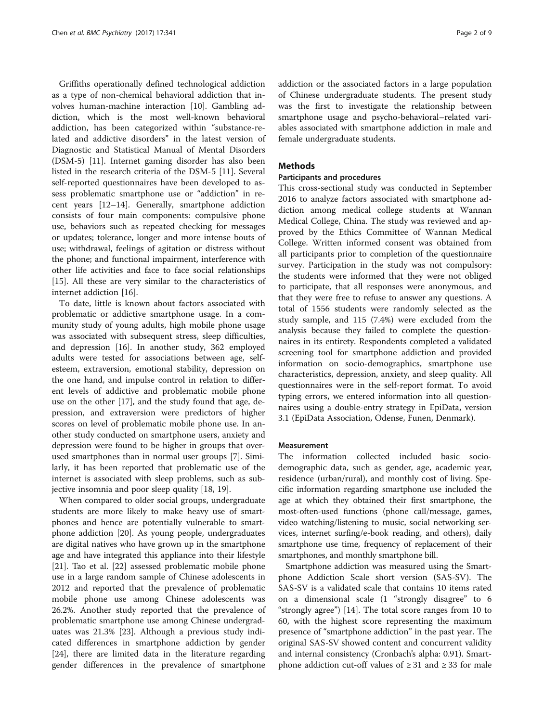Griffiths operationally defined technological addiction as a type of non-chemical behavioral addiction that involves human-machine interaction [[10](#page-7-0)]. Gambling addiction, which is the most well-known behavioral addiction, has been categorized within "substance-related and addictive disorders" in the latest version of Diagnostic and Statistical Manual of Mental Disorders (DSM-5) [[11\]](#page-7-0). Internet gaming disorder has also been listed in the research criteria of the DSM-5 [[11\]](#page-7-0). Several self-reported questionnaires have been developed to assess problematic smartphone use or "addiction" in recent years [\[12](#page-7-0)–[14](#page-7-0)]. Generally, smartphone addiction consists of four main components: compulsive phone use, behaviors such as repeated checking for messages or updates; tolerance, longer and more intense bouts of use; withdrawal, feelings of agitation or distress without the phone; and functional impairment, interference with other life activities and face to face social relationships [[15\]](#page-7-0). All these are very similar to the characteristics of internet addiction [\[16\]](#page-7-0).

To date, little is known about factors associated with problematic or addictive smartphone usage. In a community study of young adults, high mobile phone usage was associated with subsequent stress, sleep difficulties, and depression [\[16](#page-7-0)]. In another study, 362 employed adults were tested for associations between age, selfesteem, extraversion, emotional stability, depression on the one hand, and impulse control in relation to different levels of addictive and problematic mobile phone use on the other [\[17](#page-7-0)], and the study found that age, depression, and extraversion were predictors of higher scores on level of problematic mobile phone use. In another study conducted on smartphone users, anxiety and depression were found to be higher in groups that overused smartphones than in normal user groups [\[7\]](#page-7-0). Similarly, it has been reported that problematic use of the internet is associated with sleep problems, such as subjective insomnia and poor sleep quality [\[18, 19\]](#page-7-0).

When compared to older social groups, undergraduate students are more likely to make heavy use of smartphones and hence are potentially vulnerable to smartphone addiction [\[20](#page-7-0)]. As young people, undergraduates are digital natives who have grown up in the smartphone age and have integrated this appliance into their lifestyle [[21\]](#page-7-0). Tao et al. [[22\]](#page-7-0) assessed problematic mobile phone use in a large random sample of Chinese adolescents in 2012 and reported that the prevalence of problematic mobile phone use among Chinese adolescents was 26.2%. Another study reported that the prevalence of problematic smartphone use among Chinese undergraduates was 21.3% [[23](#page-7-0)]. Although a previous study indicated differences in smartphone addiction by gender [[24\]](#page-7-0), there are limited data in the literature regarding gender differences in the prevalence of smartphone addiction or the associated factors in a large population of Chinese undergraduate students. The present study was the first to investigate the relationship between smartphone usage and psycho-behavioral–related variables associated with smartphone addiction in male and female undergraduate students.

# **Methods**

# Participants and procedures

This cross-sectional study was conducted in September 2016 to analyze factors associated with smartphone addiction among medical college students at Wannan Medical College, China. The study was reviewed and approved by the Ethics Committee of Wannan Medical College. Written informed consent was obtained from all participants prior to completion of the questionnaire survey. Participation in the study was not compulsory: the students were informed that they were not obliged to participate, that all responses were anonymous, and that they were free to refuse to answer any questions. A total of 1556 students were randomly selected as the study sample, and 115 (7.4%) were excluded from the analysis because they failed to complete the questionnaires in its entirety. Respondents completed a validated screening tool for smartphone addiction and provided information on socio-demographics, smartphone use characteristics, depression, anxiety, and sleep quality. All questionnaires were in the self-report format. To avoid typing errors, we entered information into all questionnaires using a double-entry strategy in EpiData, version 3.1 (EpiData Association, Odense, Funen, Denmark).

# Measurement

The information collected included basic sociodemographic data, such as gender, age, academic year, residence (urban/rural), and monthly cost of living. Specific information regarding smartphone use included the age at which they obtained their first smartphone, the most-often-used functions (phone call/message, games, video watching/listening to music, social networking services, internet surfing/e-book reading, and others), daily smartphone use time, frequency of replacement of their smartphones, and monthly smartphone bill.

Smartphone addiction was measured using the Smartphone Addiction Scale short version (SAS-SV). The SAS-SV is a validated scale that contains 10 items rated on a dimensional scale (1 "strongly disagree" to 6 "strongly agree") [\[14](#page-7-0)]. The total score ranges from 10 to 60, with the highest score representing the maximum presence of "smartphone addiction" in the past year. The original SAS-SV showed content and concurrent validity and internal consistency (Cronbach's alpha: 0.91). Smartphone addiction cut-off values of  $≥ 31$  and  $≥ 33$  for male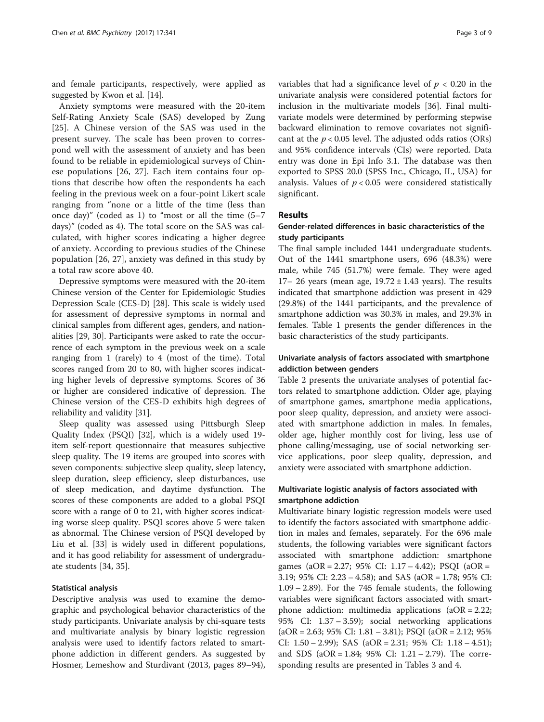and female participants, respectively, were applied as suggested by Kwon et al. [\[14\]](#page-7-0).

Anxiety symptoms were measured with the 20-item Self-Rating Anxiety Scale (SAS) developed by Zung [[25\]](#page-8-0). A Chinese version of the SAS was used in the present survey. The scale has been proven to correspond well with the assessment of anxiety and has been found to be reliable in epidemiological surveys of Chinese populations [[26, 27](#page-8-0)]. Each item contains four options that describe how often the respondents ha each feeling in the previous week on a four-point Likert scale ranging from "none or a little of the time (less than once day)" (coded as 1) to "most or all the time (5–7 days)" (coded as 4). The total score on the SAS was calculated, with higher scores indicating a higher degree of anxiety. According to previous studies of the Chinese population [[26, 27](#page-8-0)], anxiety was defined in this study by a total raw score above 40.

Depressive symptoms were measured with the 20-item Chinese version of the Center for Epidemiologic Studies Depression Scale (CES-D) [[28](#page-8-0)]. This scale is widely used for assessment of depressive symptoms in normal and clinical samples from different ages, genders, and nationalities [\[29](#page-8-0), [30\]](#page-8-0). Participants were asked to rate the occurrence of each symptom in the previous week on a scale ranging from 1 (rarely) to 4 (most of the time). Total scores ranged from 20 to 80, with higher scores indicating higher levels of depressive symptoms. Scores of 36 or higher are considered indicative of depression. The Chinese version of the CES-D exhibits high degrees of reliability and validity [\[31\]](#page-8-0).

Sleep quality was assessed using Pittsburgh Sleep Quality Index (PSQI) [[32](#page-8-0)], which is a widely used 19 item self-report questionnaire that measures subjective sleep quality. The 19 items are grouped into scores with seven components: subjective sleep quality, sleep latency, sleep duration, sleep efficiency, sleep disturbances, use of sleep medication, and daytime dysfunction. The scores of these components are added to a global PSQI score with a range of 0 to 21, with higher scores indicating worse sleep quality. PSQI scores above 5 were taken as abnormal. The Chinese version of PSQI developed by Liu et al. [[33](#page-8-0)] is widely used in different populations, and it has good reliability for assessment of undergraduate students [\[34, 35\]](#page-8-0).

# Statistical analysis

Descriptive analysis was used to examine the demographic and psychological behavior characteristics of the study participants. Univariate analysis by chi-square tests and multivariate analysis by binary logistic regression analysis were used to identify factors related to smartphone addiction in different genders. As suggested by Hosmer, Lemeshow and Sturdivant (2013, pages 89–94), variables that had a significance level of  $p < 0.20$  in the univariate analysis were considered potential factors for inclusion in the multivariate models [\[36](#page-8-0)]. Final multivariate models were determined by performing stepwise backward elimination to remove covariates not significant at the  $p < 0.05$  level. The adjusted odds ratios (ORs) and 95% confidence intervals (CIs) were reported. Data entry was done in Epi Info 3.1. The database was then exported to SPSS 20.0 (SPSS Inc., Chicago, IL, USA) for analysis. Values of  $p < 0.05$  were considered statistically significant.

# Results

# Gender-related differences in basic characteristics of the study participants

The final sample included 1441 undergraduate students. Out of the 1441 smartphone users, 696 (48.3%) were male, while 745 (51.7%) were female. They were aged 17– 26 years (mean age,  $19.72 \pm 1.43$  years). The results indicated that smartphone addiction was present in 429 (29.8%) of the 1441 participants, and the prevalence of smartphone addiction was 30.3% in males, and 29.3% in females. Table [1](#page-3-0) presents the gender differences in the basic characteristics of the study participants.

# Univariate analysis of factors associated with smartphone addiction between genders

Table [2](#page-4-0) presents the univariate analyses of potential factors related to smartphone addiction. Older age, playing of smartphone games, smartphone media applications, poor sleep quality, depression, and anxiety were associated with smartphone addiction in males. In females, older age, higher monthly cost for living, less use of phone calling/messaging, use of social networking service applications, poor sleep quality, depression, and anxiety were associated with smartphone addiction.

# Multivariate logistic analysis of factors associated with smartphone addiction

Multivariate binary logistic regression models were used to identify the factors associated with smartphone addiction in males and females, separately. For the 696 male students, the following variables were significant factors associated with smartphone addiction: smartphone games (aOR = 2.27; 95% CI: 1.17 – 4.42); PSQI (aOR = 3.19; 95% CI: 2.23 – 4.58); and SAS (aOR = 1.78; 95% CI: 1.09 – 2.89). For the 745 female students, the following variables were significant factors associated with smartphone addiction: multimedia applications (aOR = 2.22; 95% CI: 1.37 – 3.59); social networking applications  $(aOR = 2.63; 95\% CI: 1.81 - 3.81); PSQL (aOR = 2.12; 95\%$ CI: 1.50 – 2.99); SAS (aOR = 2.31; 95% CI: 1.18 – 4.51); and SDS ( $aOR = 1.84$ ; 95% CI:  $1.21 - 2.79$ ). The corresponding results are presented in Tables [3](#page-6-0) and [4](#page-6-0).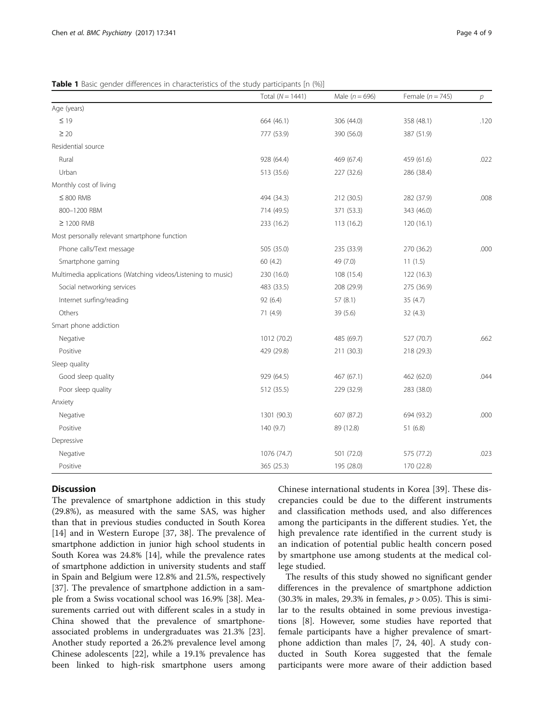<span id="page-3-0"></span>**Table 1** Basic gender differences in characteristics of the study participants [n (%)]

|                                                              | Total $(N = 1441)$ | Male $(n = 696)$ | Female $(n = 745)$ | $\overline{p}$ |
|--------------------------------------------------------------|--------------------|------------------|--------------------|----------------|
| Age (years)                                                  |                    |                  |                    |                |
| $\leq 19$                                                    | 664 (46.1)         | 306 (44.0)       | 358 (48.1)         | .120           |
| $\geq 20$                                                    | 777 (53.9)         | 390 (56.0)       | 387 (51.9)         |                |
| Residential source                                           |                    |                  |                    |                |
| Rural                                                        | 928 (64.4)         | 469 (67.4)       | 459 (61.6)         | .022           |
| Urban                                                        | 513 (35.6)         | 227 (32.6)       | 286 (38.4)         |                |
| Monthly cost of living                                       |                    |                  |                    |                |
| $\leq 800$ RMB                                               | 494 (34.3)         | 212 (30.5)       | 282 (37.9)         | .008           |
| 800-1200 RBM                                                 | 714 (49.5)         | 371 (53.3)       | 343 (46.0)         |                |
| $\geq$ 1200 RMB                                              | 233 (16.2)         | 113 (16.2)       | 120 (16.1)         |                |
| Most personally relevant smartphone function                 |                    |                  |                    |                |
| Phone calls/Text message                                     | 505 (35.0)         | 235 (33.9)       | 270 (36.2)         | .000           |
| Smartphone gaming                                            | 60(4.2)            | 49 (7.0)         | 11(1.5)            |                |
| Multimedia applications (Watching videos/Listening to music) | 230 (16.0)         | 108 (15.4)       | 122 (16.3)         |                |
| Social networking services                                   | 483 (33.5)         | 208 (29.9)       | 275 (36.9)         |                |
| Internet surfing/reading                                     | 92 (6.4)           | 57(8.1)          | 35(4.7)            |                |
| Others                                                       | 71 (4.9)           | 39 (5.6)         | 32(4.3)            |                |
| Smart phone addiction                                        |                    |                  |                    |                |
| Negative                                                     | 1012 (70.2)        | 485 (69.7)       | 527 (70.7)         | .662           |
| Positive                                                     | 429 (29.8)         | 211 (30.3)       | 218 (29.3)         |                |
| Sleep quality                                                |                    |                  |                    |                |
| Good sleep quality                                           | 929 (64.5)         | 467 (67.1)       | 462 (62.0)         | .044           |
| Poor sleep quality                                           | 512 (35.5)         | 229 (32.9)       | 283 (38.0)         |                |
| Anxiety                                                      |                    |                  |                    |                |
| Negative                                                     | 1301 (90.3)        | 607 (87.2)       | 694 (93.2)         | .000           |
| Positive                                                     | 140 (9.7)          | 89 (12.8)        | 51 (6.8)           |                |
| Depressive                                                   |                    |                  |                    |                |
| Negative                                                     | 1076 (74.7)        | 501 (72.0)       | 575 (77.2)         | .023           |
| Positive                                                     | 365 (25.3)         | 195 (28.0)       | 170 (22.8)         |                |

# **Discussion**

The prevalence of smartphone addiction in this study (29.8%), as measured with the same SAS, was higher than that in previous studies conducted in South Korea [[14\]](#page-7-0) and in Western Europe [\[37](#page-8-0), [38\]](#page-8-0). The prevalence of smartphone addiction in junior high school students in South Korea was 24.8% [\[14](#page-7-0)], while the prevalence rates of smartphone addiction in university students and staff in Spain and Belgium were 12.8% and 21.5%, respectively [[37\]](#page-8-0). The prevalence of smartphone addiction in a sample from a Swiss vocational school was 16.9% [[38\]](#page-8-0). Measurements carried out with different scales in a study in China showed that the prevalence of smartphoneassociated problems in undergraduates was 21.3% [\[23](#page-7-0)]. Another study reported a 26.2% prevalence level among Chinese adolescents [[22](#page-7-0)], while a 19.1% prevalence has been linked to high-risk smartphone users among

Chinese international students in Korea [[39\]](#page-8-0). These discrepancies could be due to the different instruments and classification methods used, and also differences among the participants in the different studies. Yet, the high prevalence rate identified in the current study is an indication of potential public health concern posed by smartphone use among students at the medical college studied.

The results of this study showed no significant gender differences in the prevalence of smartphone addiction (30.3% in males, 29.3% in females,  $p > 0.05$ ). This is similar to the results obtained in some previous investigations [\[8](#page-7-0)]. However, some studies have reported that female participants have a higher prevalence of smartphone addiction than males [[7](#page-7-0), [24](#page-7-0), [40](#page-8-0)]. A study conducted in South Korea suggested that the female participants were more aware of their addiction based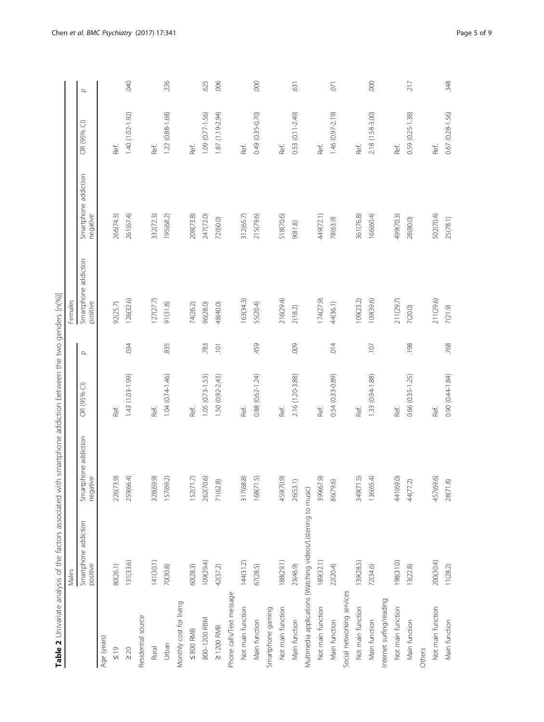|                            | Males                                                        |                                  |                     |          | Females                          |                                  |                     |            |
|----------------------------|--------------------------------------------------------------|----------------------------------|---------------------|----------|----------------------------------|----------------------------------|---------------------|------------|
|                            | Smartphone addiction<br>positive                             | Smartphone addiction<br>negative | OR (95% CI)         | $\sigma$ | Smartphone addiction<br>positive | Smartphone addiction<br>negative | OR (95% CI)         | $\sigma$   |
| Age (years)                |                                                              |                                  |                     |          |                                  |                                  |                     |            |
| $\frac{6}{19}$             | 80(26.1)                                                     | 226(73.9)                        | Ref.                |          | 92(25.7)                         | 266(74.3)                        | Ref.                |            |
| $\geq 20$                  | 131(33.6)                                                    | 259(66.4)                        | 1.43 (1.03-1.99)    | .034     | 126(32.6)                        | 261(67.4)                        | 1.40 (1.02-1.92)    | <b>DHO</b> |
| Residential source         |                                                              |                                  |                     |          |                                  |                                  |                     |            |
| Rural                      | 141(30.1)                                                    | 328(69.9)                        | Ref.                |          | 127(27.7)                        | 332(72.3)                        | Ref.                |            |
| Urban                      | 70(30.8)                                                     | 157(69.2)                        | $1.04(0.74 - 1.46)$ | 835      | 91(31.8)                         | 195(68.2)                        | 1.22 (0.88-1.68)    | 226        |
| Monthly cost for living    |                                                              |                                  |                     |          |                                  |                                  |                     |            |
| $\leq 800$ RMB             | 60(28.3)                                                     | 152(71.7)                        | Ref.                |          | 74(26.2)                         | 208(73.8)                        | Ref.                |            |
| 800-1200 RBM               | 109(29.4)                                                    | 262(70.6)                        | $1.05(0.73 - 1.53)$ | 783      | 96(28.0)                         | 247(72.0)                        | 1.09 (0.77-1.56)    | 625        |
| $\geq$ 1200 RMB            | 42(37.2)                                                     | 71(62.8)                         | 1.50 (0.92-2.43)    | 101      | 48(40.0)                         | 72(60.0)                         | 1.87 (1.19-2.94)    | .006       |
| Phone calls/Text message   |                                                              |                                  |                     |          |                                  |                                  |                     |            |
| Not main function          | 144(31.2)                                                    | 317(68.8)                        | Ref.                |          | 163(34.3)                        | 312(65.7)                        | Ref.                |            |
| Main function              | 67(28.5)                                                     | 168(71.5)                        | 0.88 (0.62-1.24)    | 459      | 55(20.4)                         | 215(79.6)                        | 0.49 (0.35-0.70)    | 000        |
| Smartphone gaming          |                                                              |                                  |                     |          |                                  |                                  |                     |            |
| Not main function          | 188(29.1)                                                    | 459(70.9)                        | Ref.                |          | 216(29.4)                        | 518(70.6)                        | Ref.                |            |
| Main function              | 23(46.9)                                                     | 26(53.1)                         | 2.16 (1.20-3.88)    | 009      | 2(18.2)                          | 9(81.8)                          | 0.53 (0.11-2.49)    | 631        |
|                            | Multimedia applications (Watching videos/Listening to music) |                                  |                     |          |                                  |                                  |                     |            |
| Not main function          | 189(32.1)                                                    | 399(67.9)                        | Ref.                |          | 174(27.9)                        | 449(72.1)                        | Ref.                |            |
| Main function              | 22(20.4)                                                     | 86(79.6)                         | 0.54 (0.33-0.89)    | 014      | 44(36.1)                         | 78(63.9)                         | $1.46(0.97 - 2.19)$ | .071       |
| Social networking services |                                                              |                                  |                     |          |                                  |                                  |                     |            |
| Not main function          | 139(28.5)                                                    | 349(71.5)                        | Ref.                |          | 109(23.2)                        | 361(76.8)                        | Ref.                |            |
| Main function              | 72(34.6)                                                     | 136(65.4)                        | 1.33 (0.94-1.88)    | 107      | 109(39.6)                        | 166(60.4)                        | 2.18 (1.58-3.00)    | .000       |
| Internet surfing/reading   |                                                              |                                  |                     |          |                                  |                                  |                     |            |
| Not main function          | (0.1398)                                                     | 441(69.0)                        | Ref.                |          | 211(29.7)                        | 499(70.3)                        | Ref.                |            |
| Main function              | 13(22.8)                                                     | 44(77.2)                         | 0.66 (0.35-1.25)    | .198     | 7(20.0)                          | 28(80.0)                         | 0.59 (0.25-1.38)    | 217        |
| Others                     |                                                              |                                  |                     |          |                                  |                                  |                     |            |
| Not main function          | 200(30.4)                                                    | 457(69.6)                        | Ref.                |          | 211(29.6)                        | 502(70.4)                        | Ref.                |            |
| Main function              | 11(28.2)                                                     | 28(71.8)                         | 0.90 (0.44-1.84)    | .768     | 7(21.9)                          | 25(78.1)                         | $0.67(0.28 - 1.56)$ | 348        |

<span id="page-4-0"></span>Chen et al. BMC Psychiatry (2017) 17:341 Page 5 of 9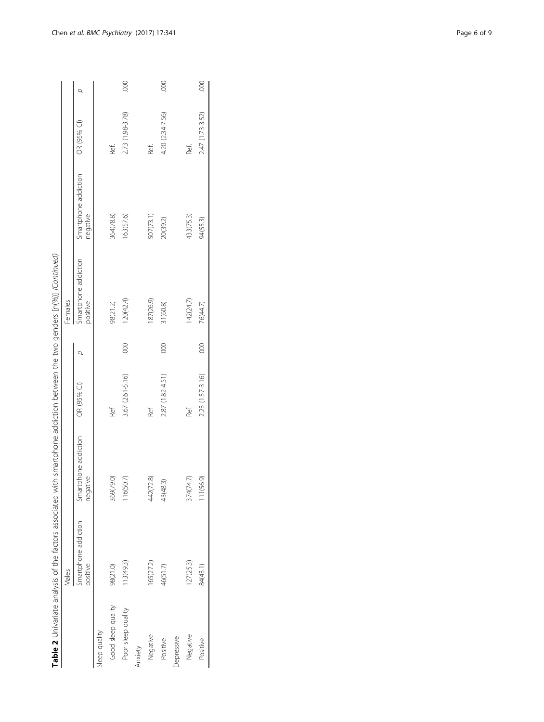| ١                                                                                                   |
|-----------------------------------------------------------------------------------------------------|
| l                                                                                                   |
|                                                                                                     |
| ļ                                                                                                   |
|                                                                                                     |
|                                                                                                     |
| ζ                                                                                                   |
|                                                                                                     |
| ׇ֚֬֓֡                                                                                               |
|                                                                                                     |
|                                                                                                     |
|                                                                                                     |
|                                                                                                     |
| j<br>1<br>֖֖֖֪ׅ֪ׅ֪ׅ֪֪ׅ֚֚֚֚֚֚֚֚֚֚֚֚֚֚֚֚֚֚֚֡֝֝֝֝֝֝֝֬֝֬֝֓                                              |
|                                                                                                     |
|                                                                                                     |
| Ì                                                                                                   |
|                                                                                                     |
| ֖֖֖֖ׅׅ֖ׅׅ֪֪ׅ֖֧ׅ֖֧֚֚֚֚֚֚֚֚֚֚֚֚֚֚֚֚֚֚֚֚֚֚֚֡֬֝֝֝֝֝                                                     |
|                                                                                                     |
| $\overline{ }$                                                                                      |
|                                                                                                     |
|                                                                                                     |
| ļ                                                                                                   |
| うりこ<br>j<br>1<br>1                                                                                  |
| ļ<br>ī                                                                                              |
|                                                                                                     |
| $\frac{1}{2}$                                                                                       |
|                                                                                                     |
| ١                                                                                                   |
| )<br>I                                                                                              |
|                                                                                                     |
| l                                                                                                   |
|                                                                                                     |
| ī                                                                                                   |
| ۱                                                                                                   |
|                                                                                                     |
| l                                                                                                   |
|                                                                                                     |
| l                                                                                                   |
|                                                                                                     |
| i                                                                                                   |
| i                                                                                                   |
| ١                                                                                                   |
| ł                                                                                                   |
|                                                                                                     |
|                                                                                                     |
|                                                                                                     |
| りりり                                                                                                 |
| i                                                                                                   |
|                                                                                                     |
|                                                                                                     |
| ł<br>١<br>ï<br>j                                                                                    |
| j<br>ř                                                                                              |
|                                                                                                     |
| ĉ<br>١                                                                                              |
|                                                                                                     |
| ֬֕֜<br>ï                                                                                            |
|                                                                                                     |
| 1<br>j                                                                                              |
| ļ                                                                                                   |
|                                                                                                     |
|                                                                                                     |
|                                                                                                     |
|                                                                                                     |
|                                                                                                     |
| ł<br>į                                                                                              |
| I                                                                                                   |
| j                                                                                                   |
| $\ddot{\phantom{a}}$<br>$\frac{1}{2}$                                                               |
| j                                                                                                   |
| $\ddot{\phantom{0}}$<br>ī                                                                           |
| ś<br>$\equiv$                                                                                       |
| $\overline{a}$                                                                                      |
|                                                                                                     |
| ı                                                                                                   |
| able 2                                                                                              |
|                                                                                                     |
| ֧֧֖֧֧ׅ֧֦֧֧֧ׅ֧֦֧֧֧֧֧֦֧֧֧֧֧֧֧֧֧֧֧֧֧֧֚֚֚֚֚֚֚֚֚֚֚֚֚֚֚֚֚֚֚֚֚֝֝֬֝֓֝֬֝֬֝֓֝֬֜֝֬֝֬֝֬֝֬֝֬֝֬֝֬֝֬֝֬֝֬֝֬֝֬֝֬֝֬֝֬ |
| I                                                                                                   |
|                                                                                                     |

|                    | Males                            |                                  |                  |      | Females                          |                                  |                  |      |
|--------------------|----------------------------------|----------------------------------|------------------|------|----------------------------------|----------------------------------|------------------|------|
|                    | Smartphone addiction<br>positive | Smartphone addiction<br>negative | OR (95% CI)      |      | Smartphone addiction<br>positive | Smartphone addiction<br>negative | OR (95% CI)      | σ    |
| sleep quality      |                                  |                                  |                  |      |                                  |                                  |                  |      |
| Good sleep quality | 98(21.0)                         | 369(79.0)                        | Ref.             |      | 98(21.2)                         | 364(78.8)                        | Ref.             |      |
| Poor sleep quality | 13(49.3)                         | 16(50.7)                         | 3.67 (2.61-5.16) | 000. | 120(42.4)                        | 163(57.6)                        | 2.73 (1.98-3.78) | 000. |
| Anxiety            |                                  |                                  |                  |      |                                  |                                  |                  |      |
| Negative           | 165(27.2)                        | 442(72.8)                        | Ref.             |      | 187(26.9)                        | 507(73.1)                        | Ref.             |      |
| Positive           | 46(51.7)                         | 43(48.3)                         | 287 (1.82-4.51)  | 000. | 31(60.8)                         | 20(39.2)                         | 4.20 (2.34-7.56) | 000. |
| Depressive         |                                  |                                  |                  |      |                                  |                                  |                  |      |
| Negative           | 27(25.3)                         | 374(74.7)                        | Ref.             |      | 142(24.7)                        | 433(75.3)                        | Ref.             |      |
| Positive           | 84(43.1)                         | 11(56.9)                         | 2.23 (1.57-3.16) | 000  | 76(44.7)                         | 94(55.3)                         | 2.47 (1.73-3.52) | 000  |
|                    |                                  |                                  |                  |      |                                  |                                  |                  |      |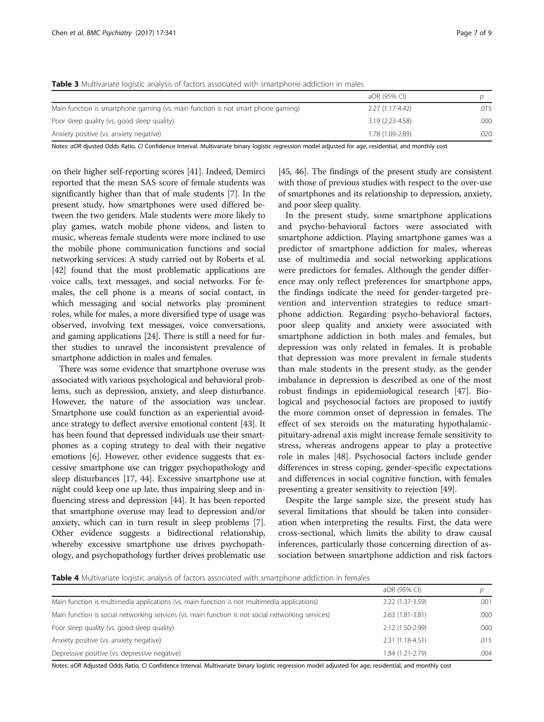|                                                                                  | aOR (95% CI)     |      |
|----------------------------------------------------------------------------------|------------------|------|
| Main function is smartphone gaming (vs. main function is not smart phone gaming) | 2.27 (1.17-4.42) | .015 |
| Poor sleep quality (vs. good sleep quality)                                      | 3.19 (2.23-4.58) | .000 |
| Anxiety positive (vs. anxiety negative)                                          | 1.78 (1.09-2.89) | .020 |

<span id="page-6-0"></span>Table 3 Multivariate logistic analysis of factors associated with smartphone addiction in males

Notes: aOR djusted Odds Ratio, CI Confidence Interval. Multivariate binary logistic regression model adjusted for age, residential, and monthly cost

on their higher self-reporting scores [[41\]](#page-8-0). Indeed, Demirci reported that the mean SAS score of female students was significantly higher than that of male students [\[7](#page-7-0)]. In the present study, how smartphones were used differed between the two genders. Male students were more likely to play games, watch mobile phone videos, and listen to music, whereas female students were more inclined to use the mobile phone communication functions and social networking services. A study carried out by Roberts et al. [[42](#page-8-0)] found that the most problematic applications are voice calls, text messages, and social networks. For females, the cell phone is a means of social contact, in which messaging and social networks play prominent roles, while for males, a more diversified type of usage was observed, involving text messages, voice conversations, and gaming applications [[24](#page-7-0)]. There is still a need for further studies to unravel the inconsistent prevalence of smartphone addiction in males and females.

There was some evidence that smartphone overuse was associated with various psychological and behavioral problems, such as depression, anxiety, and sleep disturbance. However, the nature of the association was unclear. Smartphone use could function as an experiential avoidance strategy to deflect aversive emotional content [\[43](#page-8-0)]. It has been found that depressed individuals use their smartphones as a coping strategy to deal with their negative emotions [\[6\]](#page-7-0). However, other evidence suggests that excessive smartphone use can trigger psychopathology and sleep disturbances [\[17,](#page-7-0) [44](#page-8-0)]. Excessive smartphone use at night could keep one up late, thus impairing sleep and influencing stress and depression [[44](#page-8-0)]. It has been reported that smartphone overuse may lead to depression and/or anxiety, which can in turn result in sleep problems [[7](#page-7-0)]. Other evidence suggests a bidirectional relationship, whereby excessive smartphone use drives psychopathology, and psychopathology further drives problematic use

[[45](#page-8-0), [46\]](#page-8-0). The findings of the present study are consistent with those of previous studies with respect to the over-use of smartphones and its relationship to depression, anxiety, and poor sleep quality.

In the present study, some smartphone applications and psycho-behavioral factors were associated with smartphone addiction. Playing smartphone games was a predictor of smartphone addiction for males, whereas use of multimedia and social networking applications were predictors for females. Although the gender difference may only reflect preferences for smartphone apps, the findings indicate the need for gender-targeted prevention and intervention strategies to reduce smartphone addiction. Regarding psycho-behavioral factors, poor sleep quality and anxiety were associated with smartphone addiction in both males and females, but depression was only related in females. It is probable that depression was more prevalent in female students than male students in the present study, as the gender imbalance in depression is described as one of the most robust findings in epidemiological research [[47\]](#page-8-0). Biological and psychosocial factors are proposed to justify the more common onset of depression in females. The effect of sex steroids on the maturating hypothalamicpituitary-adrenal axis might increase female sensitivity to stress, whereas androgens appear to play a protective role in males [[48\]](#page-8-0). Psychosocial factors include gender differences in stress coping, gender-specific expectations and differences in social cognitive function, with females presenting a greater sensitivity to rejection [\[49](#page-8-0)].

Despite the large sample size, the present study has several limitations that should be taken into consideration when interpreting the results. First, the data were cross-sectional, which limits the ability to draw causal inferences, particularly those concerning direction of association between smartphone addiction and risk factors

Table 4 Multivariate logistic analysis of factors associated with smartphone addiction in females

|                                                                                                   | aOR (95% CI)      |      |
|---------------------------------------------------------------------------------------------------|-------------------|------|
| Main function is multimedia applications (vs. main function is not multimedia applications)       | 2.22 (1.37-3.59)  | .001 |
| Main function is social networking services (vs. main function is not social networking services) | 2.63 (1.81-3.81)  | .000 |
| Poor sleep quality (vs. good sleep quality)                                                       | 2.12 (1.50-2.99)  | .000 |
| Anxiety positive (vs. anxiety negative)                                                           | $2.31(1.18-4.51)$ | .015 |
| Depressive positive (vs. depressive negative)                                                     | 1.84 (1.21-2.79)  | .004 |

Notes: aOR Adjusted Odds Ratio, CI Confidence Interval. Multivariate binary logistic regression model adjusted for age, residential, and monthly cost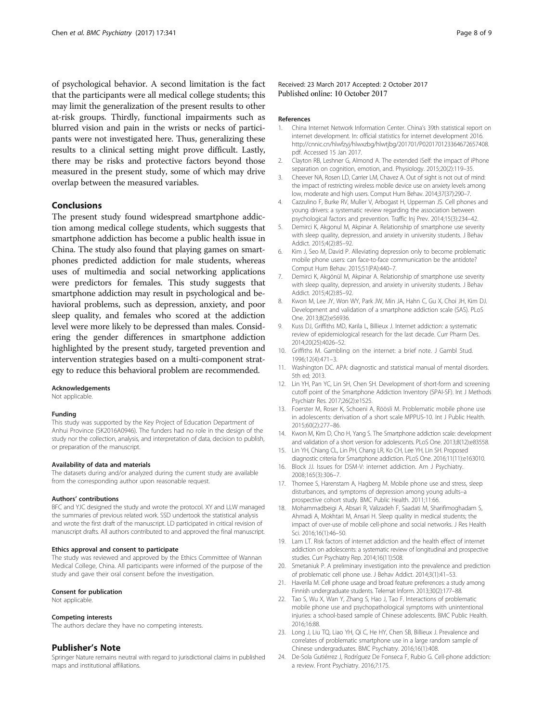<span id="page-7-0"></span>of psychological behavior. A second limitation is the fact that the participants were all medical college students; this may limit the generalization of the present results to other at-risk groups. Thirdly, functional impairments such as blurred vision and pain in the wrists or necks of participants were not investigated here. Thus, generalizing these results to a clinical setting might prove difficult. Lastly, there may be risks and protective factors beyond those measured in the present study, some of which may drive overlap between the measured variables.

# Conclusions

The present study found widespread smartphone addiction among medical college students, which suggests that smartphone addiction has become a public health issue in China. The study also found that playing games on smartphones predicted addiction for male students, whereas uses of multimedia and social networking applications were predictors for females. This study suggests that smartphone addiction may result in psychological and behavioral problems, such as depression, anxiety, and poor sleep quality, and females who scored at the addiction level were more likely to be depressed than males. Considering the gender differences in smartphone addiction highlighted by the present study, targeted prevention and intervention strategies based on a multi-component strategy to reduce this behavioral problem are recommended.

### Acknowledgements

Not applicable.

#### Funding

This study was supported by the Key Project of Education Department of Anhui Province (SK2016A0946). The funders had no role in the design of the study nor the collection, analysis, and interpretation of data, decision to publish, or preparation of the manuscript.

#### Availability of data and materials

The datasets during and/or analyzed during the current study are available from the corresponding author upon reasonable request.

#### Authors' contributions

BFC and YJC designed the study and wrote the protocol. XY and LLW managed the summaries of previous related work. SSD undertook the statistical analysis and wrote the first draft of the manuscript. LD participated in critical revision of manuscript drafts. All authors contributed to and approved the final manuscript.

### Ethics approval and consent to participate

The study was reviewed and approved by the Ethics Committee of Wannan Medical College, China. All participants were informed of the purpose of the study and gave their oral consent before the investigation.

#### Consent for publication

Not applicable.

#### Competing interests

The authors declare they have no competing interests.

#### Publisher's Note

Springer Nature remains neutral with regard to jurisdictional claims in published maps and institutional affiliations.

Received: 23 March 2017 Accepted: 2 October 2017 Published online: 10 October 2017

#### References

- 1. China Internet Network Information Center. China's 39th statistical report on internet development. In: official statistics for internet development 2016. [http://cnnic.cn/hlwfzyj/hlwxzbg/hlwtjbg/201701/P020170123364672657408.](http://cnnic.cn/hlwfzyj/hlwxzbg/hlwtjbg/201701/P020170123364672657408.pdf) [pdf](http://cnnic.cn/hlwfzyj/hlwxzbg/hlwtjbg/201701/P020170123364672657408.pdf). Accessed 15 Jan 2017.
- 2. Clayton RB, Leshner G, Almond A. The extended iSelf: the impact of iPhone separation on cognition, emotion, and. Physiology. 2015;20(2):119–35.
- 3. Cheever NA, Rosen LD, Carrier LM, Chavez A. Out of sight is not out of mind: the impact of restricting wireless mobile device use on anxiety levels among low, moderate and high users. Comput Hum Behav. 2014;37(37):290–7.
- 4. Cazzulino F, Burke RV, Muller V, Arbogast H, Upperman JS. Cell phones and young drivers: a systematic review regarding the association between psychological factors and prevention. Traffic Inj Prev. 2014;15(3):234–42.
- 5. Demirci K, Akgonul M, Akpinar A. Relationship of smartphone use severity with sleep quality, depression, and anxiety in university students. J Behav Addict. 2015;4(2):85–92.
- 6. Kim J, Seo M, David P. Alleviating depression only to become problematic mobile phone users: can face-to-face communication be the antidote? Comput Hum Behav. 2015;51(PA):440–7.
- 7. Demirci K, Akgönül M, Akpinar A. Relationship of smartphone use severity with sleep quality, depression, and anxiety in university students. J Behav Addict. 2015;4(2):85–92.
- 8. Kwon M, Lee JY, Won WY, Park JW, Min JA, Hahn C, Gu X, Choi JH, Kim DJ. Development and validation of a smartphone addiction scale (SAS). PLoS One. 2013;8(2):e56936.
- 9. Kuss DJ, Griffiths MD, Karila L, Billieux J. Internet addiction: a systematic review of epidemiological research for the last decade. Curr Pharm Des. 2014;20(25):4026–52.
- 10. Griffiths M. Gambling on the internet: a brief note. J Gambl Stud. 1996;12(4):471–3.
- 11. Washington DC. APA: diagnostic and statistical manual of mental disorders. 5th ed; 2013.
- 12. Lin YH, Pan YC, Lin SH, Chen SH. Development of short-form and screening cutoff point of the Smartphone Addiction Inventory (SPAI-SF). Int J Methods Psychiatr Res. 2017;26(2):e1525.
- 13. Foerster M, Roser K, Schoeni A, Röösli M. Problematic mobile phone use in adolescents: derivation of a short scale MPPUS-10. Int J Public Health. 2015;60(2):277–86.
- 14. Kwon M, Kim D, Cho H, Yang S. The Smartphone addiction scale: development and validation of a short version for adolescents. PLoS One. 2013;8(12):e83558.
- 15. Lin YH, Chiang CL, Lin PH, Chang LR, Ko CH, Lee YH, Lin SH. Proposed diagnostic criteria for Smartphone addiction. PLoS One. 2016;11(11):e163010.
- 16. Block JJ. Issues for DSM-V: internet addiction. Am J Psychiatry. 2008;165(3):306–7.
- 17. Thomee S, Harenstam A, Hagberg M. Mobile phone use and stress, sleep disturbances, and symptoms of depression among young adults–a prospective cohort study. BMC Public Health. 2011;11:66.
- 18. Mohammadbeigi A, Absari R, Valizadeh F, Saadati M, Sharifimoghadam S, Ahmadi A, Mokhtari M, Ansari H. Sleep quality in medical students; the impact of over-use of mobile cell-phone and social networks. J Res Health Sci. 2016;16(1):46–50.
- 19. Lam LT. Risk factors of internet addiction and the health effect of internet addiction on adolescents: a systematic review of longitudinal and prospective studies. Curr Psychiatry Rep. 2014;16(11):508.
- 20. Smetaniuk P. A preliminary investigation into the prevalence and prediction of problematic cell phone use. J Behav Addict. 2014;3(1):41–53.
- 21. Haverila M. Cell phone usage and broad feature preferences: a study among Finnish undergraduate students. Telemat Inform. 2013;30(2):177–88.
- 22. Tao S, Wu X, Wan Y, Zhang S, Hao J, Tao F. Interactions of problematic mobile phone use and psychopathological symptoms with unintentional injuries: a school-based sample of Chinese adolescents. BMC Public Health. 2016;16:88.
- 23. Long J, Liu TQ, Liao YH, Qi C, He HY, Chen SB, Billieux J. Prevalence and correlates of problematic smartphone use in a large random sample of Chinese undergraduates. BMC Psychiatry. 2016;16(1):408.
- 24. De-Sola Gutiérrez J, Rodríguez De Fonseca F, Rubio G. Cell-phone addiction: a review. Front Psychiatry. 2016;7:175.